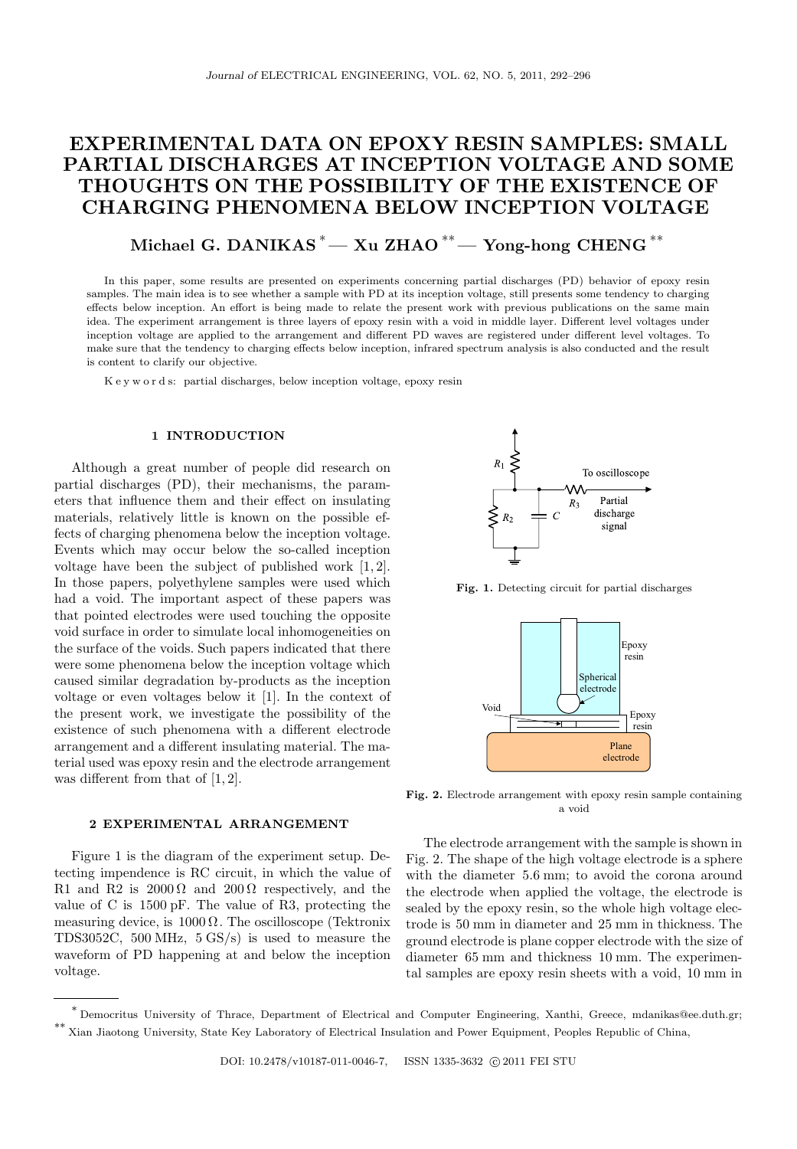# EXPERIMENTAL DATA ON EPOXY RESIN SAMPLES: SMALL PARTIAL DISCHARGES AT INCEPTION VOLTAGE AND SOME THOUGHTS ON THE POSSIBILITY OF THE EXISTENCE OF CHARGING PHENOMENA BELOW INCEPTION VOLTAGE

Michael G. DANIKAS<sup>\*</sup>— Xu ZHAO<sup>\*\*</sup>— Yong-hong CHENG<sup>\*\*</sup>

In this paper, some results are presented on experiments concerning partial discharges (PD) behavior of epoxy resin samples. The main idea is to see whether a sample with PD at its inception voltage, still presents some tendency to charging effects below inception. An effort is being made to relate the present work with previous publications on the same main idea. The experiment arrangement is three layers of epoxy resin with a void in middle layer. Different level voltages under inception voltage are applied to the arrangement and different PD waves are registered under different level voltages. To make sure that the tendency to charging effects below inception, infrared spectrum analysis is also conducted and the result is content to clarify our objective.

K e y w o r d s: partial discharges, below inception voltage, epoxy resin

### 1 INTRODUCTION

Although a great number of people did research on partial discharges (PD), their mechanisms, the parameters that influence them and their effect on insulating materials, relatively little is known on the possible effects of charging phenomena below the inception voltage. Events which may occur below the so-called inception voltage have been the subject of published work [1, 2]. In those papers, polyethylene samples were used which had a void. The important aspect of these papers was that pointed electrodes were used touching the opposite void surface in order to simulate local inhomogeneities on the surface of the voids. Such papers indicated that there were some phenomena below the inception voltage which caused similar degradation by-products as the inception voltage or even voltages below it [1]. In the context of the present work, we investigate the possibility of the existence of such phenomena with a different electrode arrangement and a different insulating material. The material used was epoxy resin and the electrode arrangement was different from that of [1, 2].

## 2 EXPERIMENTAL ARRANGEMENT

Figure 1 is the diagram of the experiment setup. Detecting impendence is RC circuit, in which the value of R1 and R2 is  $2000 \Omega$  and  $200 \Omega$  respectively, and the value of C is 1500 pF. The value of R3, protecting the measuring device, is  $1000 \Omega$ . The oscilloscope (Tektronix TDS3052C, 500 MHz, 5 GS/s) is used to measure the waveform of PD happening at and below the inception voltage.



Fig. 1. Detecting circuit for partial discharges



Fig. 2. Electrode arrangement with epoxy resin sample containing a void

The electrode arrangement with the sample is shown in Fig. 2. The shape of the high voltage electrode is a sphere with the diameter 5.6 mm; to avoid the corona around the electrode when applied the voltage, the electrode is sealed by the epoxy resin, so the whole high voltage electrode is 50 mm in diameter and 25 mm in thickness. The ground electrode is plane copper electrode with the size of diameter 65 mm and thickness 10 mm. The experimental samples are epoxy resin sheets with a void, 10 mm in

<sup>∗</sup> Democritus University of Thrace, Department of Electrical and Computer Engineering, Xanthi, Greece, mdanikas@ee.duth.gr; ∗∗ Xian Jiaotong University, State Key Laboratory of Electrical Insulation and Power Equipment, Peoples Republic of China,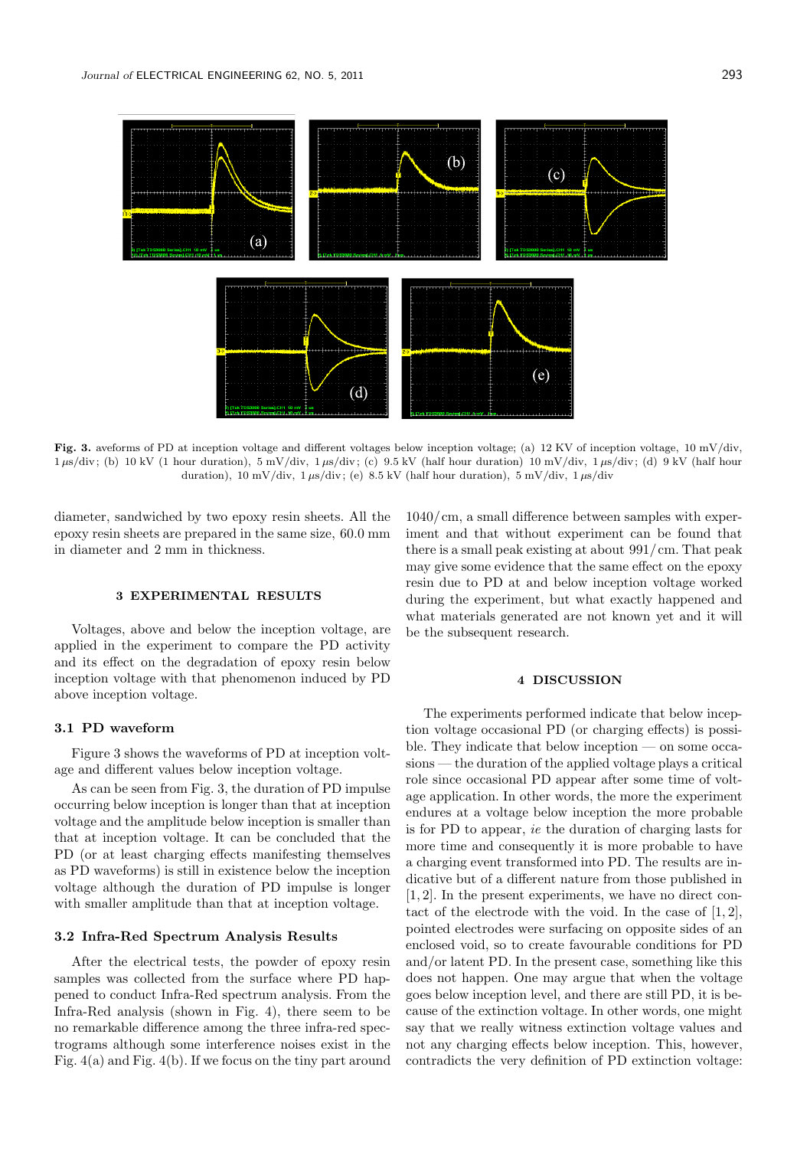

Fig. 3. aveforms of PD at inception voltage and different voltages below inception voltage; (a) 12 KV of inception voltage, 10 mV/div,  $1 \mu s$ /div; (b) 10 kV (1 hour duration),  $5 \text{ mV}/\text{div}$ ,  $1 \mu s/\text{div}$ ; (c) 9.5 kV (half hour duration) 10 mV/div,  $1 \mu s/\text{div}$ ; (d) 9 kV (half hour duration), 10 mV/div,  $1 \mu s$ /div; (e) 8.5 kV (half hour duration), 5 mV/div,  $1 \mu s$ /div

diameter, sandwiched by two epoxy resin sheets. All the epoxy resin sheets are prepared in the same size, 60.0 mm in diameter and 2 mm in thickness.

### 3 EXPERIMENTAL RESULTS

Voltages, above and below the inception voltage, are applied in the experiment to compare the PD activity and its effect on the degradation of epoxy resin below inception voltage with that phenomenon induced by PD above inception voltage.

## 3.1 PD waveform

Figure 3 shows the waveforms of PD at inception voltage and different values below inception voltage.

As can be seen from Fig. 3, the duration of PD impulse occurring below inception is longer than that at inception voltage and the amplitude below inception is smaller than that at inception voltage. It can be concluded that the PD (or at least charging effects manifesting themselves as PD waveforms) is still in existence below the inception voltage although the duration of PD impulse is longer with smaller amplitude than that at inception voltage.

## 3.2 Infra-Red Spectrum Analysis Results

After the electrical tests, the powder of epoxy resin samples was collected from the surface where PD happened to conduct Infra-Red spectrum analysis. From the Infra-Red analysis (shown in Fig. 4), there seem to be no remarkable difference among the three infra-red spectrograms although some interference noises exist in the Fig. 4(a) and Fig. 4(b). If we focus on the tiny part around

1040/cm, a small difference between samples with experiment and that without experiment can be found that there is a small peak existing at about 991/cm. That peak may give some evidence that the same effect on the epoxy resin due to PD at and below inception voltage worked during the experiment, but what exactly happened and what materials generated are not known yet and it will be the subsequent research.

# 4 DISCUSSION

The experiments performed indicate that below inception voltage occasional PD (or charging effects) is possible. They indicate that below inception — on some occasions — the duration of the applied voltage plays a critical role since occasional PD appear after some time of voltage application. In other words, the more the experiment endures at a voltage below inception the more probable is for PD to appear, ie the duration of charging lasts for more time and consequently it is more probable to have a charging event transformed into PD. The results are indicative but of a different nature from those published in [1, 2]. In the present experiments, we have no direct contact of the electrode with the void. In the case of  $[1, 2]$ , pointed electrodes were surfacing on opposite sides of an enclosed void, so to create favourable conditions for PD and/or latent PD. In the present case, something like this does not happen. One may argue that when the voltage goes below inception level, and there are still PD, it is because of the extinction voltage. In other words, one might say that we really witness extinction voltage values and not any charging effects below inception. This, however, contradicts the very definition of PD extinction voltage: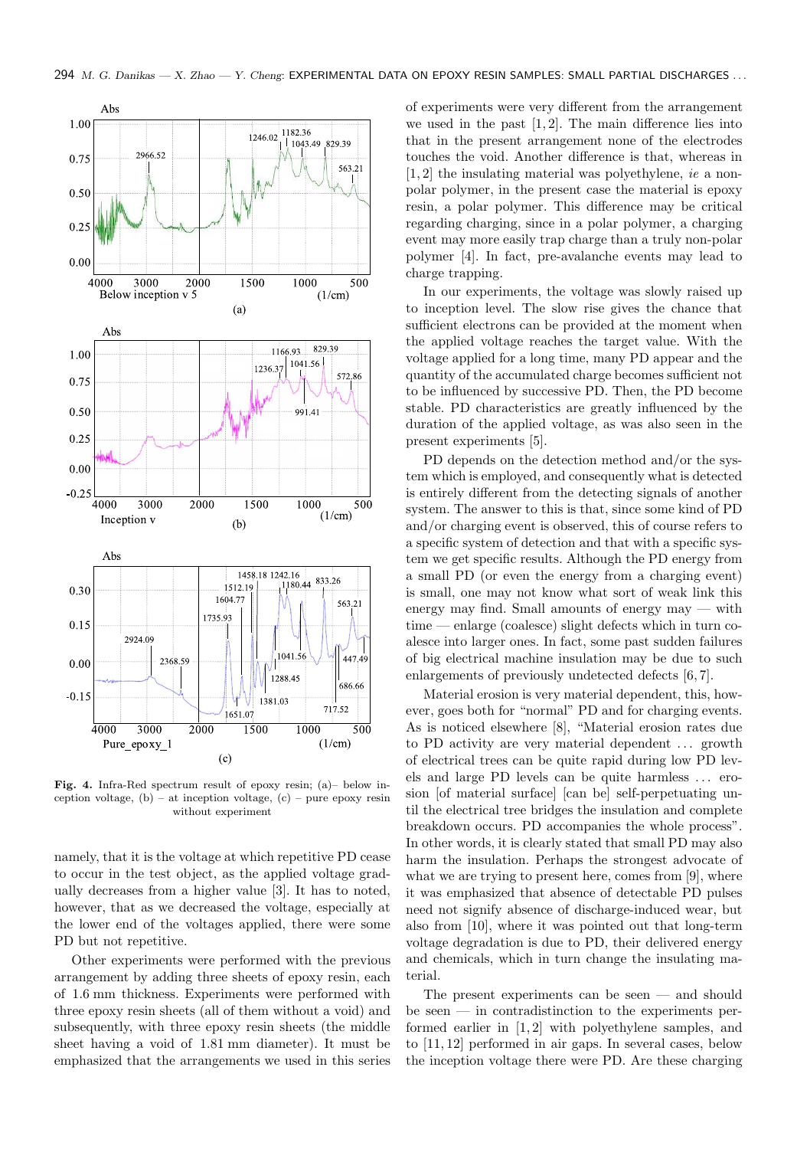

Fig. 4. Infra-Red spectrum result of epoxy resin; (a)– below inception voltage, (b) – at inception voltage, (c) – pure epoxy resin without experiment

namely, that it is the voltage at which repetitive PD cease to occur in the test object, as the applied voltage gradually decreases from a higher value [3]. It has to noted, however, that as we decreased the voltage, especially at the lower end of the voltages applied, there were some PD but not repetitive.

Other experiments were performed with the previous arrangement by adding three sheets of epoxy resin, each of 1.6 mm thickness. Experiments were performed with three epoxy resin sheets (all of them without a void) and subsequently, with three epoxy resin sheets (the middle sheet having a void of 1.81 mm diameter). It must be emphasized that the arrangements we used in this series of experiments were very different from the arrangement we used in the past  $[1, 2]$ . The main difference lies into that in the present arrangement none of the electrodes touches the void. Another difference is that, whereas in [1, 2] the insulating material was polyethylene, ie a nonpolar polymer, in the present case the material is epoxy resin, a polar polymer. This difference may be critical regarding charging, since in a polar polymer, a charging event may more easily trap charge than a truly non-polar polymer [4]. In fact, pre-avalanche events may lead to charge trapping.

In our experiments, the voltage was slowly raised up to inception level. The slow rise gives the chance that sufficient electrons can be provided at the moment when the applied voltage reaches the target value. With the voltage applied for a long time, many PD appear and the quantity of the accumulated charge becomes sufficient not to be influenced by successive PD. Then, the PD become stable. PD characteristics are greatly influenced by the duration of the applied voltage, as was also seen in the present experiments [5].

PD depends on the detection method and/or the system which is employed, and consequently what is detected is entirely different from the detecting signals of another system. The answer to this is that, since some kind of PD and/or charging event is observed, this of course refers to a specific system of detection and that with a specific system we get specific results. Although the PD energy from a small PD (or even the energy from a charging event) is small, one may not know what sort of weak link this energy may find. Small amounts of energy may — with time — enlarge (coalesce) slight defects which in turn coalesce into larger ones. In fact, some past sudden failures of big electrical machine insulation may be due to such enlargements of previously undetected defects [6, 7].

Material erosion is very material dependent, this, however, goes both for "normal" PD and for charging events. As is noticed elsewhere [8], "Material erosion rates due to PD activity are very material dependent ... growth of electrical trees can be quite rapid during low PD levels and large PD levels can be quite harmless . . . erosion [of material surface] [can be] self-perpetuating until the electrical tree bridges the insulation and complete breakdown occurs. PD accompanies the whole process". In other words, it is clearly stated that small PD may also harm the insulation. Perhaps the strongest advocate of what we are trying to present here, comes from [9], where it was emphasized that absence of detectable PD pulses need not signify absence of discharge-induced wear, but also from [10], where it was pointed out that long-term voltage degradation is due to PD, their delivered energy and chemicals, which in turn change the insulating material.

The present experiments can be seen — and should  $be$  seen  $-$  in contradistinction to the experiments performed earlier in [1, 2] with polyethylene samples, and to [11, 12] performed in air gaps. In several cases, below the inception voltage there were PD. Are these charging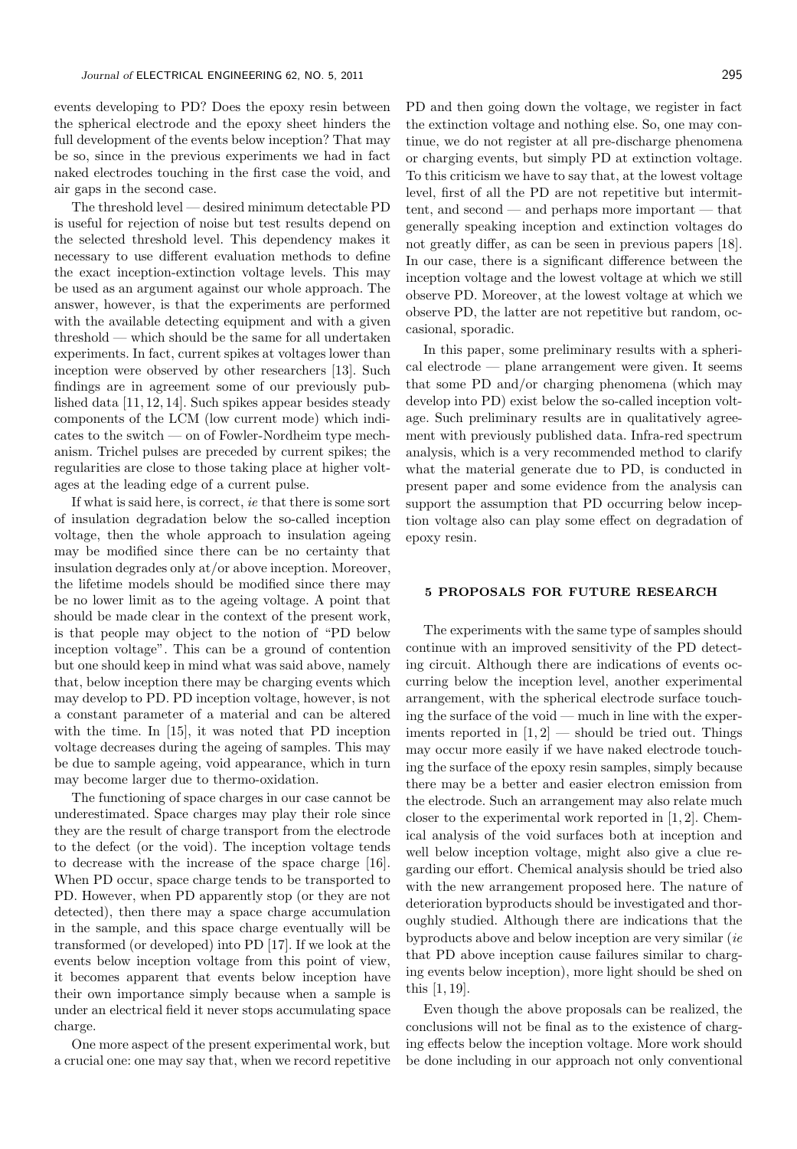events developing to PD? Does the epoxy resin between the spherical electrode and the epoxy sheet hinders the full development of the events below inception? That may be so, since in the previous experiments we had in fact naked electrodes touching in the first case the void, and air gaps in the second case.

The threshold level — desired minimum detectable PD is useful for rejection of noise but test results depend on the selected threshold level. This dependency makes it necessary to use different evaluation methods to define the exact inception-extinction voltage levels. This may be used as an argument against our whole approach. The answer, however, is that the experiments are performed with the available detecting equipment and with a given threshold — which should be the same for all undertaken experiments. In fact, current spikes at voltages lower than inception were observed by other researchers [13]. Such findings are in agreement some of our previously published data [11, 12, 14]. Such spikes appear besides steady components of the LCM (low current mode) which indicates to the switch — on of Fowler-Nordheim type mechanism. Trichel pulses are preceded by current spikes; the regularities are close to those taking place at higher voltages at the leading edge of a current pulse.

If what is said here, is correct, ie that there is some sort of insulation degradation below the so-called inception voltage, then the whole approach to insulation ageing may be modified since there can be no certainty that insulation degrades only at/or above inception. Moreover, the lifetime models should be modified since there may be no lower limit as to the ageing voltage. A point that should be made clear in the context of the present work, is that people may object to the notion of "PD below inception voltage". This can be a ground of contention but one should keep in mind what was said above, namely that, below inception there may be charging events which may develop to PD. PD inception voltage, however, is not a constant parameter of a material and can be altered with the time. In [15], it was noted that PD inception voltage decreases during the ageing of samples. This may be due to sample ageing, void appearance, which in turn may become larger due to thermo-oxidation.

The functioning of space charges in our case cannot be underestimated. Space charges may play their role since they are the result of charge transport from the electrode to the defect (or the void). The inception voltage tends to decrease with the increase of the space charge [16]. When PD occur, space charge tends to be transported to PD. However, when PD apparently stop (or they are not detected), then there may a space charge accumulation in the sample, and this space charge eventually will be transformed (or developed) into PD [17]. If we look at the events below inception voltage from this point of view, it becomes apparent that events below inception have their own importance simply because when a sample is under an electrical field it never stops accumulating space charge.

One more aspect of the present experimental work, but a crucial one: one may say that, when we record repetitive

PD and then going down the voltage, we register in fact the extinction voltage and nothing else. So, one may continue, we do not register at all pre-discharge phenomena or charging events, but simply PD at extinction voltage. To this criticism we have to say that, at the lowest voltage level, first of all the PD are not repetitive but intermittent, and second — and perhaps more important — that generally speaking inception and extinction voltages do not greatly differ, as can be seen in previous papers [18]. In our case, there is a significant difference between the inception voltage and the lowest voltage at which we still observe PD. Moreover, at the lowest voltage at which we observe PD, the latter are not repetitive but random, occasional, sporadic.

In this paper, some preliminary results with a spherical electrode — plane arrangement were given. It seems that some PD and/or charging phenomena (which may develop into PD) exist below the so-called inception voltage. Such preliminary results are in qualitatively agreement with previously published data. Infra-red spectrum analysis, which is a very recommended method to clarify what the material generate due to PD, is conducted in present paper and some evidence from the analysis can support the assumption that PD occurring below inception voltage also can play some effect on degradation of epoxy resin.

# 5 PROPOSALS FOR FUTURE RESEARCH

The experiments with the same type of samples should continue with an improved sensitivity of the PD detecting circuit. Although there are indications of events occurring below the inception level, another experimental arrangement, with the spherical electrode surface touching the surface of the void — much in line with the experiments reported in  $[1, 2]$  — should be tried out. Things may occur more easily if we have naked electrode touching the surface of the epoxy resin samples, simply because there may be a better and easier electron emission from the electrode. Such an arrangement may also relate much closer to the experimental work reported in [1, 2]. Chemical analysis of the void surfaces both at inception and well below inception voltage, might also give a clue regarding our effort. Chemical analysis should be tried also with the new arrangement proposed here. The nature of deterioration byproducts should be investigated and thoroughly studied. Although there are indications that the byproducts above and below inception are very similar (ie that PD above inception cause failures similar to charging events below inception), more light should be shed on this [1, 19].

Even though the above proposals can be realized, the conclusions will not be final as to the existence of charging effects below the inception voltage. More work should be done including in our approach not only conventional